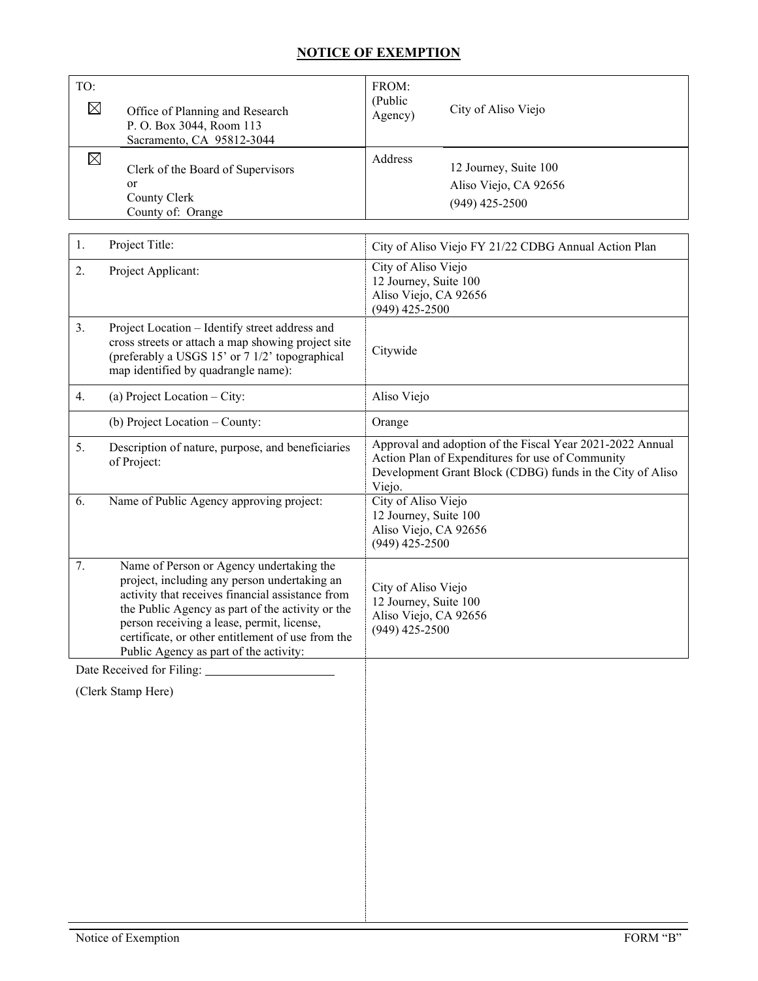## **NOTICE OF EXEMPTION**

| TO:<br>$\boxtimes$ | Office of Planning and Research<br>P. O. Box 3044, Room 113<br>Sacramento, CA 95812-3044 | FROM:<br>(Public)<br>Agency) | City of Aliso Viejo                                                |
|--------------------|------------------------------------------------------------------------------------------|------------------------------|--------------------------------------------------------------------|
| $\boxtimes$        | Clerk of the Board of Supervisors<br>or<br>County Clerk<br>County of: Orange             | Address                      | 12 Journey, Suite 100<br>Aliso Viejo, CA 92656<br>$(949)$ 425-2500 |

| 1. | Project Title:                                                                                                                                                                                                                                                                                                                                | City of Aliso Viejo FY 21/22 CDBG Annual Action Plan                                                                                                                                 |
|----|-----------------------------------------------------------------------------------------------------------------------------------------------------------------------------------------------------------------------------------------------------------------------------------------------------------------------------------------------|--------------------------------------------------------------------------------------------------------------------------------------------------------------------------------------|
| 2. | Project Applicant:                                                                                                                                                                                                                                                                                                                            | City of Aliso Viejo<br>12 Journey, Suite 100<br>Aliso Viejo, CA 92656<br>$(949)$ 425-2500                                                                                            |
| 3. | Project Location - Identify street address and<br>cross streets or attach a map showing project site<br>(preferably a USGS 15' or 7 1/2' topographical<br>map identified by quadrangle name):                                                                                                                                                 | Citywide                                                                                                                                                                             |
| 4. | (a) Project Location $-$ City:                                                                                                                                                                                                                                                                                                                | Aliso Viejo                                                                                                                                                                          |
|    | (b) Project Location - County:                                                                                                                                                                                                                                                                                                                | Orange                                                                                                                                                                               |
| 5. | Description of nature, purpose, and beneficiaries<br>of Project:                                                                                                                                                                                                                                                                              | Approval and adoption of the Fiscal Year 2021-2022 Annual<br>Action Plan of Expenditures for use of Community<br>Development Grant Block (CDBG) funds in the City of Aliso<br>Viejo. |
| 6. | Name of Public Agency approving project:                                                                                                                                                                                                                                                                                                      | City of Aliso Viejo<br>12 Journey, Suite 100<br>Aliso Viejo, CA 92656<br>$(949)$ 425-2500                                                                                            |
| 7. | Name of Person or Agency undertaking the<br>project, including any person undertaking an<br>activity that receives financial assistance from<br>the Public Agency as part of the activity or the<br>person receiving a lease, permit, license,<br>certificate, or other entitlement of use from the<br>Public Agency as part of the activity: | City of Aliso Viejo<br>12 Journey, Suite 100<br>Aliso Viejo, CA 92656<br>$(949)$ 425-2500                                                                                            |
|    | Date Received for Filing:                                                                                                                                                                                                                                                                                                                     |                                                                                                                                                                                      |
|    | (Clerk Stamp Here)                                                                                                                                                                                                                                                                                                                            |                                                                                                                                                                                      |